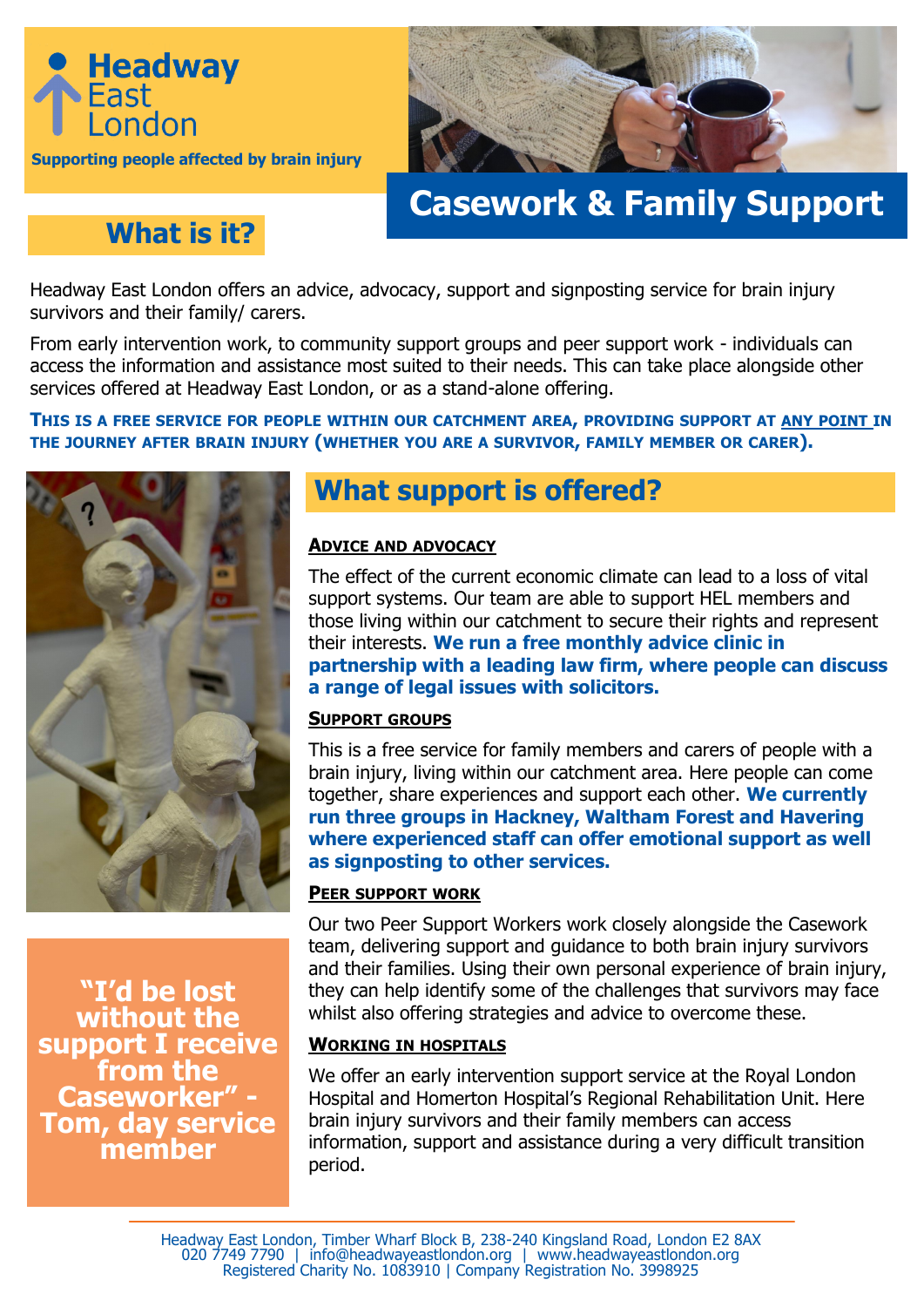



# **Casework & Family Support**

### **What is it?**

Headway East London offers an advice, advocacy, support and signposting service for brain injury survivors and their family/ carers.

From early intervention work, to community support groups and peer support work - individuals can access the information and assistance most suited to their needs. This can take place alongside other services offered at Headway East London, or as a stand-alone offering.

#### THIS IS A FREE SERVICE FOR PEOPLE WITHIN OUR CATCHMENT AREA, PROVIDING SUPPORT AT ANY POINT IN **THE JOURNEY AFTER BRAIN INJURY (WHETHER YOU ARE A SURVIVOR, FAMILY MEMBER OR CARER).**



**"I'd be lost without the support I receive from the Caseworker" - Tom, day service member**

### **What support is offered?**

#### **ADVICE AND ADVOCACY**

The effect of the current economic climate can lead to a loss of vital support systems. Our team are able to support HEL members and those living within our catchment to secure their rights and represent their interests. **We run a free monthly advice clinic in partnership with a leading law firm, where people can discuss a range of legal issues with solicitors.** 

#### **SUPPORT GROUPS**

This is a free service for family members and carers of people with a brain injury, living within our catchment area. Here people can come together, share experiences and support each other. **We currently run three groups in Hackney, Waltham Forest and Havering where experienced staff can offer emotional support as well as signposting to other services.** 

#### **PEER SUPPORT WORK**

Our two Peer Support Workers work closely alongside the Casework team, delivering support and guidance to both brain injury survivors and their families. Using their own personal experience of brain injury, they can help identify some of the challenges that survivors may face whilst also offering strategies and advice to overcome these.

#### **WORKING IN HOSPITALS**

We offer an early intervention support service at the Royal London Hospital and Homerton Hospital's Regional Rehabilitation Unit. Here brain injury survivors and their family members can access information, support and assistance during a very difficult transition period.